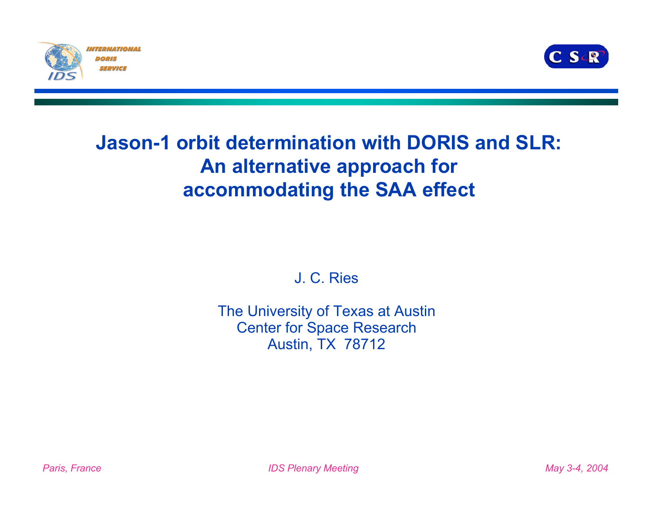



#### **Jason-1 orbit determination with DORIS and SLR: An alternative approach for accommodating the SAA effect**

J. C. Ries

The University of Texas at Austin Center for Space Research Austin, TX 78712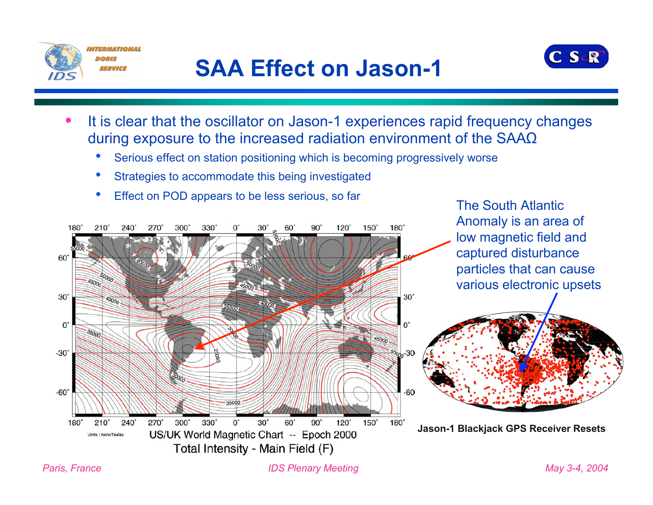

## **SAA Effect on Jason-1**



The South Atlantic

- It is clear that the oscillator on Jason-1 experiences rapid frequency changes during exposure to the increased radiation environment of the SAAΩ
	- Serious effect on station positioning which is becoming progressively worse
	- Strategies to accommodate this being investigated
	- Effect on POD appears to be less serious, so far

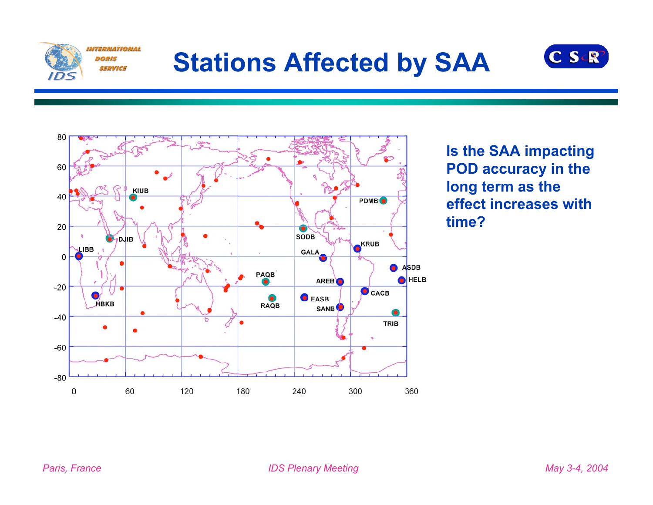

# **Stations Affected by SAA**





**Is the SAA impacting POD accuracy in the long term as the effect increases with time?**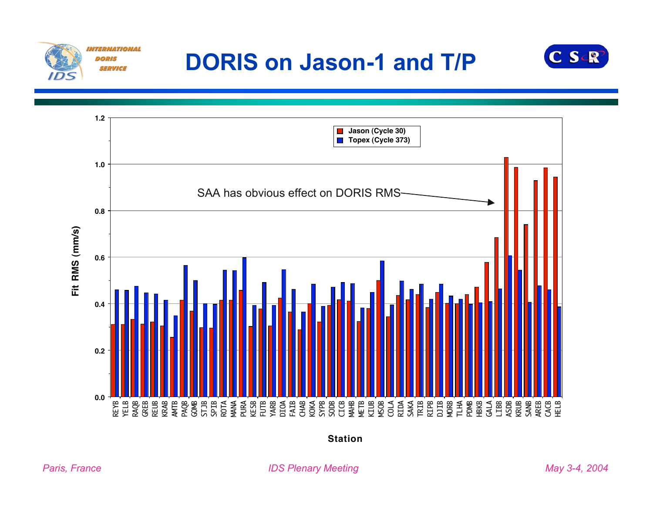

## **DORIS on Jason-1 and T/P**





**Station**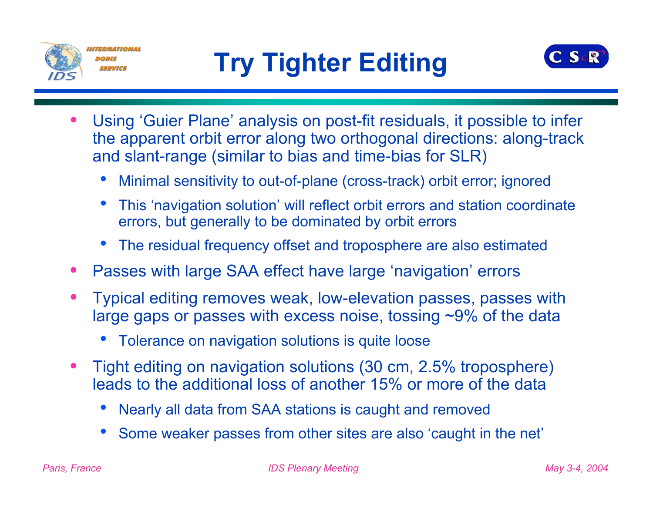



- Using 'Guier Plane' analysis on post-fit residuals, it possible to infer the apparent orbit error along two orthogonal directions: along-track and slant-range (similar to bias and time-bias for SLR)
	- Minimal sensitivity to out-of-plane (cross-track) orbit error; ignored
	- This 'navigation solution' will reflect orbit errors and station coordinate errors, but generally to be dominated by orbit errors
	- The residual frequency offset and troposphere are also estimated
- Passes with large SAA effect have large 'navigation' errors
- Typical editing removes weak, low-elevation passes, passes with large gaps or passes with excess noise, tossing ~9% of the data
	- Tolerance on navigation solutions is quite loose
- Tight editing on navigation solutions (30 cm, 2.5% troposphere) leads to the additional loss of another 15% or more of the data
	- Nearly all data from SAA stations is caught and removed
	- Some weaker passes from other sites are also 'caught in the net'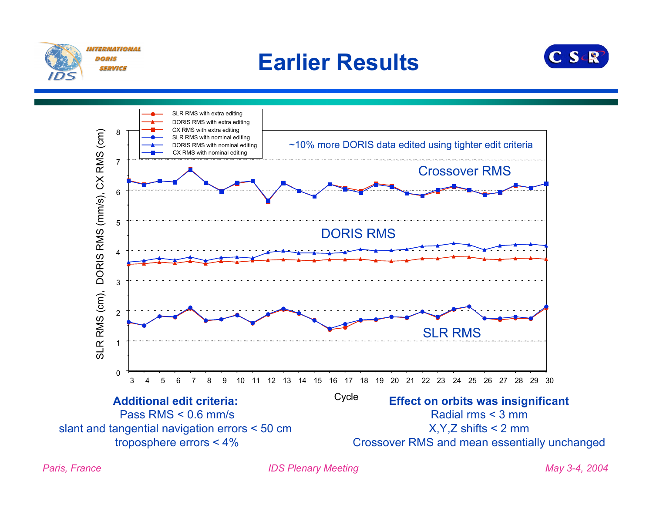

#### **Earlier Results**



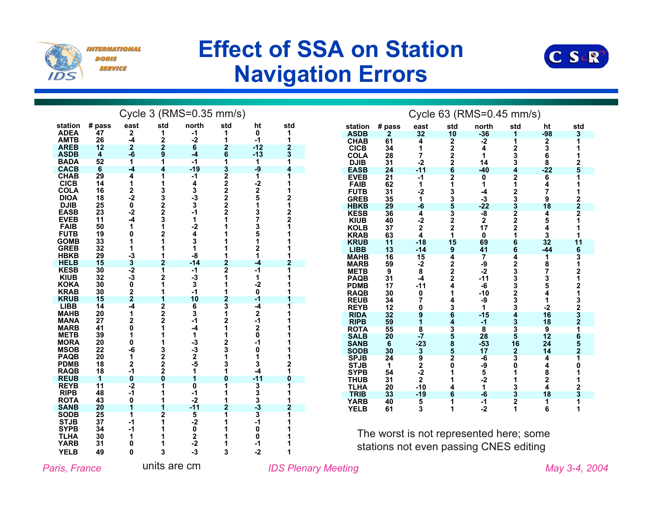

DORIS SERVICE **Effect of SSA on Station Navigation Errors**



|                            |          |                |                | Cycle 3 (RMS=0.35 mm/s) |                         |                         |     |                            |          |                                        |        | Cycle 63 (RMS=0.45 mm/s) |                |  |
|----------------------------|----------|----------------|----------------|-------------------------|-------------------------|-------------------------|-----|----------------------------|----------|----------------------------------------|--------|--------------------------|----------------|--|
| station                    | # pass   | east           | std            | north                   | std                     | ht                      | std | station                    | # pass   | east                                   | std    | north                    | std            |  |
| <b>ADEA</b>                | 47       | 2              | 1              | -1                      | 1                       | 0                       | 1   | <b>ASDB</b>                | 2        | 32                                     | 10     | $-36$                    |                |  |
| <b>AMTB</b>                | 26       | -4             | 2              | -2                      | 1                       | $-1$                    | 1   | <b>CHAB</b>                | 61       | 4                                      | 2      | $-2$                     |                |  |
| <b>AREB</b>                | 12       | $\mathbf{2}$   | $\mathbf{2}$   | 6                       | $\mathbf{2}$            | $-12$                   | 2   | <b>CICB</b>                | 34       |                                        | 2      | 4                        | 2              |  |
| <b>ASDB</b>                | 4        | $-6$           | 9              | -4                      | 6                       | $-13$                   | 3   | <b>COLA</b>                | 28       | 7                                      | 2      | 1                        | 3              |  |
| <b>BADA</b>                | 52       | 1              | 1              | -1                      | 1                       | 1                       |     | <b>DJIB</b>                | 31       | -2                                     | 2      | 14                       | 3              |  |
| <b>CACB</b><br><b>CHAB</b> | 6<br>29  | $-4$<br>4      | 4              | $-19$<br>-1             | 3<br>$\overline{2}$     | $-9$<br>1               | Δ   | <b>EASB</b>                | 24       | $-11$                                  | 6      | $-40$                    |                |  |
| <b>CICB</b>                | 14       | 1              |                | 4                       | $\overline{\mathbf{2}}$ | $-2$                    |     | <b>EVEB</b><br><b>FAIB</b> | 21<br>62 | -1<br>1                                |        | $\overline{0}$<br>1      |                |  |
| <b>COLA</b>                | 16       |                | 3              | 3                       | $\overline{\mathbf{2}}$ | $\mathbf 2$             |     | <b>FUTB</b>                | 31       | -2                                     |        | -4                       |                |  |
| <b>DIOA</b>                | 18       | $\frac{2}{-2}$ | 3              | -3                      | $\overline{\mathbf{2}}$ | 5                       |     | <b>GREB</b>                | 35       | 1                                      | 3      | -3                       | 3              |  |
| <b>DJIB</b>                | 25       | 0              | 2              | 3                       | 2                       | 1                       |     | <b>HBKB</b>                | 29       | -6                                     |        | $-22$                    | 3              |  |
| <b>EASB</b>                | 23       | $-2$           | $\mathbf 2$    | -1                      | 2                       | 3                       |     | <b>KESB</b>                | 36       | 4                                      | 3      | -8                       | $\overline{2}$ |  |
| <b>EVEB</b>                | 11       | -4             | 3              |                         |                         | 7                       |     | <b>KIUB</b>                | 40       | -2                                     | 2      | 2                        | 2              |  |
| <b>FAIB</b>                | 50       | 1              | 1              | -2                      |                         | 3                       |     | <b>KOLB</b>                | 37       | 2                                      | 2      | 17                       | 2              |  |
| <b>FUTB</b>                | 19       |                | 2              | 4                       |                         | 5                       |     | <b>KRAB</b>                | 63       | 4                                      | 1      | 0                        |                |  |
| <b>GOMB</b>                | 33       |                |                |                         |                         |                         |     | <b>KRUB</b>                | 11       | $-18$                                  | 15     | 69                       |                |  |
| <b>GREB</b><br><b>HBKB</b> | 32<br>29 | -3             |                | -8                      |                         |                         |     | <b>LIBB</b>                | 13       | $-14$                                  | 9      | 41                       | 6              |  |
| <b>HELB</b>                | 15       | 3              | $\overline{2}$ | $-14$                   | $\overline{2}$          | -4                      |     | <b>MAHB</b>                | 16       | 15                                     | 4      | 7                        |                |  |
| <b>KESB</b>                | 30       | $-2$           | 1              | -1                      | $\overline{2}$          | $-1$                    |     | <b>MARB</b><br><b>METB</b> | 59<br>9  | -2<br>8                                | 2<br>2 | -9<br>-2                 | 2<br>3         |  |
| <b>KIUB</b>                | 32       | $-3$           | 2              | -3                      | 1                       | 1                       |     | <b>PAQB</b>                | 31       | -4                                     | 2      | $-11$                    | 3              |  |
| <b>KOKA</b>                | 30       | 0              |                | 3                       |                         | -2                      |     | <b>PDMB</b>                | 17       | -11                                    |        | -6                       | 3              |  |
| <b>KRAB</b>                | 30       | 2              |                | -1                      |                         | 0                       |     | <b>RAQB</b>                | 30       | 0                                      |        | $-10$                    | 2              |  |
| <b>KRUB</b>                | 15       | $\overline{2}$ |                | 10                      | $\overline{2}$          | -1                      |     | <b>REUB</b>                | 34       | 7                                      |        | -9                       |                |  |
| <b>LIBB</b>                | 14       | -4             | $\overline{2}$ | 6                       | 3                       | -4                      |     | <b>REYB</b>                | 12       | 0                                      | 3      | 1                        | 3              |  |
| <b>MAHB</b>                | 20       | 1              | 2              | 3                       | 1                       | 2                       |     | <b>RIDA</b>                | 32       | 9                                      |        | $-15$                    |                |  |
| <b>MANA</b><br><b>MARB</b> | 27<br>41 | $\overline{2}$ | $\overline{2}$ |                         | 2                       | -1<br>2                 |     | <b>RIPB</b>                | 59       |                                        | 4      | -1                       |                |  |
| <b>METB</b>                | 39       |                |                |                         |                         | 0                       |     | <b>ROTA</b>                | 55       | 8                                      |        | 8                        | 3              |  |
| <b>MORA</b>                | 20       | 0              |                | -3                      | 2                       |                         |     | <b>SALB</b><br><b>SANB</b> | 20<br>6  | -7<br>$-23$                            | 5<br>8 | 28<br>$-53$              | 16             |  |
| <b>MSOB</b>                | 22       | -6             | 3              | -3                      | 3                       | 0                       |     | <b>SODB</b>                | 30       | 3                                      | 5      | 17                       | $\overline{2}$ |  |
| <b>PAQB</b>                | 20       | 1              | 2              | 2                       |                         |                         |     | <b>SPJB</b>                | 24       | $\overline{9}$                         |        | $-6$                     | 3              |  |
| <b>PDMB</b>                | 18       | $\overline{2}$ | $\mathbf 2$    | -5                      | 3                       | 3                       |     | <b>STJB</b>                | 1        | 2                                      |        | -9                       |                |  |
| <b>RAQB</b>                | 18       | $-1$           | $\mathbf 2$    |                         |                         | -4                      |     | <b>SYPB</b>                | 54       | -2                                     |        | 5                        |                |  |
| <b>REUB</b>                | 1        | 0              | 0              |                         | 0                       | $-11$                   |     | <b>THUB</b>                | 31       | $\overline{2}$                         |        | $-2$                     |                |  |
| <b>REYB</b>                | 11<br>48 | $-2$<br>$-1$   |                | $\bf{0}$                |                         | $\overline{\mathbf{3}}$ |     | <b>TLHA</b>                | 20       | $-10$                                  |        | 1                        | 3              |  |
| <b>RIPB</b><br><b>ROTA</b> | 43       | 0              |                | -1<br>$-2$              |                         | 3<br>3                  |     | <b>TRIB</b>                | 33       | $-19$                                  |        | -6                       | 3              |  |
| <b>SANB</b>                | 20       | 1              | 1              | $-11$                   | $\overline{2}$          | -3                      |     | <b>YARB</b>                | 40<br>61 | 5<br>3                                 | 1<br>1 | $-1$<br>$-2$             | $\overline{2}$ |  |
| <b>SODB</b>                | 25       |                | $\overline{2}$ | 5                       |                         | $\overline{\mathbf{3}}$ |     | <b>YELB</b>                |          |                                        |        |                          |                |  |
| <b>STJB</b>                | 37       | -1             |                | -2                      |                         | -1                      |     |                            |          |                                        |        |                          |                |  |
| <b>SYPB</b>                | 34       | -1             |                | 0                       |                         | 0                       |     |                            |          |                                        |        |                          |                |  |
| <b>TLHA</b>                | 30       |                |                | 2                       |                         | 0                       |     |                            |          | The worst is not represented here; son |        |                          |                |  |
| <b>YARB</b>                | 31       |                |                | $-2$                    |                         | -1                      |     |                            |          | stations not even passing CNES editin  |        |                          |                |  |
| <b>YELB</b>                | 49       | 0              | 3              | $-3$                    | 3                       | $-2$                    |     |                            |          |                                        |        |                          |                |  |

|                            |                      |                         |                              | Cycle 63 (RMS=0.45 mm/s)      |                         |                              |                                                   |
|----------------------------|----------------------|-------------------------|------------------------------|-------------------------------|-------------------------|------------------------------|---------------------------------------------------|
| station                    | # pass               | east                    | std                          | north                         | std                     | ht                           | std                                               |
| <b>ASDB</b>                | $\overline{2}$<br>61 | 32<br>$\overline{4}$    | 10                           | $-36$                         | 1                       | $-98$                        | 3                                                 |
| <b>CHAB</b><br><b>CICB</b> | 34                   | 1                       |                              | $-2$<br>4                     | $\overline{1}$          | $\frac{2}{3}$                | $\overline{\mathbf{1}}$<br>1                      |
| <b>COLA</b>                | 28                   | $\overline{7}$          |                              | 1                             |                         |                              | 1                                                 |
| <b>DJIB</b>                | 31                   | $-2$                    |                              | 14                            | $\frac{2}{3}$           | $\overline{8}$               |                                                   |
| <b>EASB</b>                | 24                   | $-11$                   | 22226                        | $-40$                         | $\ddot{\bf{4}}$         | $-22$                        | $\frac{2}{5}$                                     |
| <b>EVEB</b>                | 21                   | $-1$                    | $\overline{\mathbf{2}}$      | $\overline{\mathbf{0}}$       | $\overline{\mathbf{2}}$ |                              | 1                                                 |
| FAIB                       | 62                   | 1                       | 1                            | 1                             | 1                       | $\frac{6}{4}$                | 1                                                 |
| <b>FUTB</b>                | 31                   | $-2$                    |                              | $-4$                          |                         | $\overline{7}$               | 1                                                 |
| <b>GREB</b>                | 35                   | 1                       |                              | $-3$                          |                         | 9                            |                                                   |
| <b>HBKB</b>                | 29                   | $-6$                    | 335322                       | $-22$                         | 233222                  | 18                           | $\begin{array}{c}\n2 \\ 2 \\ 2 \\ 1\n\end{array}$ |
| <b>KESB</b>                | 36                   | $\overline{\mathbf{4}}$ |                              | $-8$                          |                         | 4                            |                                                   |
| <b>KIUB</b>                | 40                   | $-2$                    |                              | $\mathbf 2$                   |                         | 5                            |                                                   |
| <b>KOLB</b>                | 37                   | $\overline{\mathbf{2}}$ |                              | 17                            |                         | 4                            | 1                                                 |
| <b>KRAB</b>                | 63                   | $\overline{4}$          | 1                            | $\mathbf 0$                   | $\overline{\mathbf{1}}$ | 3                            | 1                                                 |
| <b>KRUB</b>                | 11                   | $-18$                   | 15                           | 69                            | 6                       | 32                           | 11                                                |
| <b>LIBB</b><br><b>MAHB</b> | 13                   | $-14$<br>15             | 9<br>$\overline{\mathbf{4}}$ | 41<br>$\overline{\mathbf{7}}$ | 6<br>4                  | $-44$                        | 631212132321                                      |
| <b>MARB</b>                | 16<br>59             | $-2$                    |                              | -9                            |                         | $\overline{\mathbf{1}}$<br>8 |                                                   |
| <b>METB</b>                | 9                    | 8                       | $\frac{2}{2}$                | $-2$                          |                         | 7                            |                                                   |
| <b>PAQB</b>                | 31                   | $-4$                    |                              | $-11$                         |                         |                              |                                                   |
| <b>PDMB</b>                | 17                   | $-11$                   | 4                            | -6                            |                         | 3<br>5                       |                                                   |
| <b>RAQB</b>                | 30                   | 0                       | 1                            | $-10$                         |                         | $\tilde{4}$                  |                                                   |
| <b>REUB</b>                | 34                   | 7                       | 4                            | -9                            |                         | 1                            |                                                   |
| <b>REYB</b>                | 12                   | 0                       |                              | 1                             |                         | $-2$                         |                                                   |
| <b>RIDA</b>                | 32                   | 9                       | $\frac{3}{6}$                | $-15$                         |                         | 16                           |                                                   |
| <b>RIPB</b>                | 59                   | Ĭ.                      | $\mathbf 4$                  | $-1$                          |                         | 18                           |                                                   |
| <b>ROTA</b>                | 55                   | 8                       | 35852                        | 8                             | 23332334335             | $\overline{9}$               |                                                   |
| <b>SALB</b>                | 20                   | $-7$                    |                              | 28                            |                         | 12                           | 6<br>5<br>2<br>1                                  |
| <b>SANB</b>                | 6                    | $-23$                   |                              | $-53$                         | 16                      | 24                           |                                                   |
| <b>SODB</b>                | 30                   | 3922                    |                              | 17                            | $\frac{2}{3}$           | 14                           |                                                   |
| <b>SPJB</b>                | 24                   |                         | 0                            | $-6$                          |                         | 4<br>4                       |                                                   |
| <b>STJB</b><br><b>SYPB</b> | 1<br>54              |                         | 1                            | -9                            | 0<br>1                  | 8                            | $\mathbf 0$<br>1                                  |
| <b>THUB</b>                | 31                   | $\mathbf 2$             | 1                            | $\frac{5}{-2}$                | 1                       | $\overline{2}$               |                                                   |
| <b>TLHA</b>                | 20                   | $-10$                   | 4                            | 1                             |                         | 4                            |                                                   |
| <b>TRIB</b>                | 33                   | $-19$                   | 6                            | $-6$                          | $\frac{3}{2}$           | 18                           | $\frac{1}{2}$                                     |
| <b>YARB</b>                | 40                   | 5                       | 1                            | $-1$                          |                         | 1                            | $\overline{\mathbf{1}}$                           |
| <b>YELB</b>                | 61                   | $\overline{\mathbf{3}}$ | 1                            | $-2$                          | 1                       | 6                            | 1                                                 |

The worst is not represented here; some stations not even passing CNES editing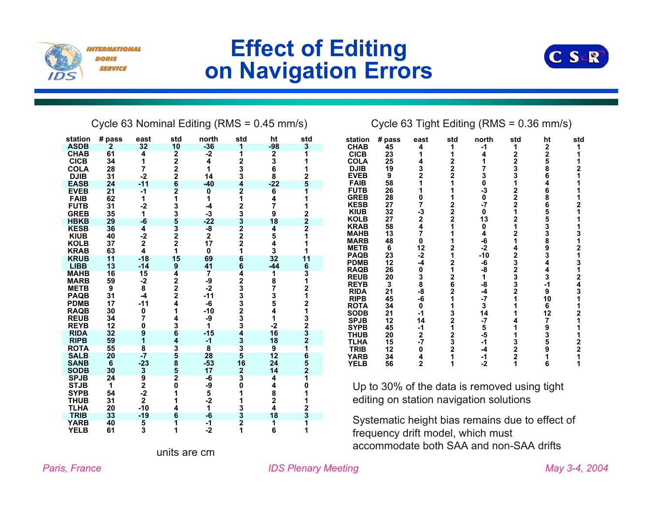

#### **Effect of Editing on Navigation Errors**



Cycle 63 Nominal Editing (RMS = 0.45 mm/s) Cycle 63 Tight Editing (RMS = 0.36 mm/s)

| station                    | # pass         | east                        | std                                             | north                   | std                     | ht                      | std                                                    |
|----------------------------|----------------|-----------------------------|-------------------------------------------------|-------------------------|-------------------------|-------------------------|--------------------------------------------------------|
| <b>ASDB</b>                | $\overline{2}$ | 32                          | 10                                              | $-36$                   | 1                       | $-98$                   | 3                                                      |
| <b>CHAB</b>                | 61             | 4                           | 2222621335322                                   | $-2$                    | $\overline{\mathbf{1}}$ | $\frac{2}{3}$           | $\overline{\mathbf{1}}$                                |
| <b>CICB</b>                | 34             | 1                           |                                                 | 4                       | $\frac{2}{3}$           |                         | 1                                                      |
| <b>COLA</b>                | 28             | 7                           |                                                 | 1                       |                         |                         |                                                        |
| <b>DJIB</b>                | 31             | $-2$                        |                                                 | 14                      |                         | 8                       | 125                                                    |
| <b>EASB</b>                | 24             | $-11$                       |                                                 | $-40$                   | 4                       | $-22$                   |                                                        |
| <b>EVEB</b>                | 21             | $-1$                        |                                                 | $\overline{\mathbf{0}}$ | $\overline{\mathbf{2}}$ | $6\phantom{a}$          |                                                        |
| <b>FAIB</b>                | 62             | 1                           |                                                 | 1                       | 1                       | 4                       | $\frac{1}{1}$                                          |
| <b>FUTB</b>                | 31             | $-2$                        |                                                 | $-4$                    |                         | 7                       |                                                        |
| <b>GREB</b>                | 35             | 1                           |                                                 | $-3$                    | 23322                   | 9                       | $\begin{array}{c}\n 2 \\  2 \\  2 \\  1\n \end{array}$ |
| <b>HBKB</b>                | 29             | -6                          |                                                 | $-22$                   |                         | 18                      |                                                        |
| <b>KESB</b><br><b>KIUB</b> | 36<br>40       | 4<br>$-2$                   |                                                 | $\frac{-8}{2}$          |                         | 4                       |                                                        |
| <b>KOLB</b>                | 37             | $\overline{\mathbf{2}}$     |                                                 | 17                      | $\overline{2}$          | 5                       | 1                                                      |
| <b>KRAB</b>                | 63             | 4                           | $\overline{\mathbf{1}}$                         | $\pmb{0}$               | 1                       | 4<br>3                  | 1                                                      |
| <b>KRUB</b>                | 11             | $-18$                       | 15                                              | 69                      | 6                       | 32                      | 11                                                     |
| <b>LIBB</b>                | 13             | $-14$                       | 9                                               | 41                      | 6                       | $-44$                   |                                                        |
| <b>MAHB</b>                | 16             | 15                          | 4                                               | $\overline{\mathbf{7}}$ | 4                       | 1                       |                                                        |
| <b>MARB</b>                | 59             | $-2$                        |                                                 | -9                      |                         |                         |                                                        |
| <b>METB</b>                | 9              | 8                           | $\begin{array}{c} 2 \\ 2 \\ 2 \\ 4 \end{array}$ | $-2$                    |                         | 8735                    |                                                        |
| <b>PAQB</b>                | 31             | $-4$                        |                                                 | $-11$                   |                         |                         |                                                        |
| <b>PDMB</b>                | 17             | $-11$                       |                                                 | -6                      |                         |                         |                                                        |
| <b>RAQB</b>                | 30             | 0                           | 1                                               | $-10$                   |                         | $\ddot{\bf{4}}$         |                                                        |
| <b>REUB</b>                | 34             | 7                           | 4                                               | -9                      |                         | 1                       |                                                        |
| <b>REYB</b>                | 12             | 0                           |                                                 | 1                       | 2333233                 | $-2$                    |                                                        |
| <b>RIDA</b>                | 32             | 9                           |                                                 | $-15$                   | 4                       | 16                      |                                                        |
| <b>RIPB</b>                | 59             | 1                           |                                                 | $-1$                    | $\frac{3}{3}$           | 18                      |                                                        |
| <b>ROTA</b>                | 55             | 8                           | 36435852                                        | $\overline{\mathbf{8}}$ |                         | $\overline{9}$          | 631212132321652                                        |
| <b>SALB</b>                | 20             | -7                          |                                                 | 28                      | $\overline{\mathbf{5}}$ | 12                      |                                                        |
| <b>SANB</b>                | 6              |                             |                                                 | $-53$                   | 16                      | 24                      |                                                        |
| <b>SODB</b>                | 30             | $-23$<br>$9$<br>$2$<br>$-2$ |                                                 | 17                      | $\overline{\mathbf{2}}$ | 14                      |                                                        |
| <b>SPJB</b>                | 24             |                             |                                                 | $-6$                    | 3                       | 4                       | $\overline{\mathbf{1}}$                                |
| <b>STJB</b>                | 1              |                             | 0                                               | -9                      | $\pmb{0}$               | 4                       | 0                                                      |
| <b>SYPB</b>                | 54             |                             | 1                                               | $\frac{5}{-2}$          | 1                       | 8                       |                                                        |
| <b>THUB</b>                | 31             | $\overline{\mathbf{2}}$     | 1                                               |                         | 1                       | $\overline{\mathbf{2}}$ |                                                        |
| <b>TLHA</b>                | 20             | $-10$                       | 4                                               | 1                       | 3                       | 4                       | 1123                                                   |
| <b>TRIB</b>                | 33             | $-19$                       | 6                                               | -6                      | $\frac{3}{2}$           | 18                      |                                                        |
| <b>YARB</b>                | 40             | $\frac{5}{3}$               | 1                                               | $-1$                    |                         | 1                       |                                                        |
| <b>YELB</b>                | 61             |                             | 1                                               | $-2$                    | 1                       | 6                       | 1                                                      |

| station     | # pass | east           | std                     | north  | std                     | ht             | std                     |
|-------------|--------|----------------|-------------------------|--------|-------------------------|----------------|-------------------------|
| <b>CHAB</b> | 45     | 4              | 1                       | -1     | 1                       | 2              | 1                       |
| <b>CICB</b> | 23     | 1              | 1                       | 4      | $\overline{2}$          | $\bar{2}$      |                         |
| <b>COLA</b> | 25     | 4              | 2                       | 1      | $\overline{\mathbf{c}}$ | 5              | 1                       |
| <b>DJIB</b> | 19     | $\frac{3}{2}$  | $\overline{\mathbf{c}}$ | 7      |                         | $\frac{8}{6}$  | 2                       |
| <b>EVEB</b> | 9      |                | $\overline{2}$          | 3<br>0 | 3<br>3                  |                | 1                       |
| <b>FAIB</b> | 58     | 1              | 1                       |        | 1                       | 4              | 1                       |
| <b>FUTB</b> | 26     | 1              | 1                       | -3     | 2<br>2                  | 6<br>8         | 1                       |
| <b>GREB</b> | 28     | 0              | 1                       | 0      |                         |                | 1                       |
| <b>KESB</b> | 27     | 7              | 2                       | -7     | $\overline{\mathbf{2}}$ | 6              | $\overline{2}$          |
| <b>KIUB</b> | 32     |                | $\overline{2}$          | 0      | 1                       |                | 1                       |
| <b>KOLB</b> | 27     | $\frac{3}{2}$  | $\bar{\mathbf{2}}$      | 13     | 2                       | 5533893        | 1                       |
| <b>KRAB</b> | 58     | 4              | 1                       | 0      | 1                       |                | 1                       |
| <b>MAHB</b> | 13     | $\overline{7}$ | 1                       | 4      | 2                       |                | 3                       |
| <b>MARB</b> | 48     | 0              | 1                       | -6     | 1                       |                | 1                       |
| <b>METB</b> | 6      | 12             | 2                       | $-2$   | 4                       |                | $\overline{\mathbf{c}}$ |
| <b>PAQB</b> | 23     | $-2$           | 1                       | $-10$  | $\overline{\mathbf{c}}$ |                | 1                       |
| <b>PDMB</b> | 12     | $-4$           | $\overline{2}$          | -6     | $\bar{3}$<br>2          | $\ddot{4}$     | 3                       |
| <b>RAQB</b> | 26     | 0              | 1                       | -8     |                         | 4              | 1                       |
| <b>REUB</b> | 20     | 3<br>8         | $\overline{2}$          | 1      | 3<br>3<br>2             | 3              | 2                       |
| <b>REYB</b> | 3      |                | $\frac{6}{2}$           | -8     |                         | $-1$           | 4<br>3                  |
| <b>RIDA</b> | 21     | -8             |                         | -4     |                         | 9              |                         |
| <b>RIPB</b> | 45     | -6             | 1                       | $-7$   | 1                       | 10             | 1                       |
| <b>ROTA</b> | 34     | 0              | 1                       | 3      | 1                       | 6              | 1                       |
| <b>SODB</b> | 21     | $-1$           | 3                       | 14     | 1                       | 12             | 2                       |
| <b>SPJB</b> | 12     | 14             | $\overline{2}$          | $-7$   | 4                       | 7              | 1                       |
| <b>SYPB</b> | 45     | $-1$           | 1                       | 5      | 1                       | 9              | 1                       |
| THUB        | 20     | $\mathbf 2$    | 2                       | -5     | 1                       |                | 1                       |
| TLHA        | 15     | $-7$           | $\bar{3}$<br>2          | $-1$   | 3<br>2                  | 3 <sub>5</sub> | 2<br>2                  |
| <b>TRIB</b> | 12     | 0              |                         | $-4$   |                         |                |                         |
| <b>YARB</b> | 34     | $\frac{4}{2}$  | 1                       | -1     | $\overline{\mathbf{2}}$ | 1              | 1                       |
| <b>YELB</b> | 56     |                | 1                       | $-2$   | 1                       | 6              | 1                       |
|             |        |                |                         |        |                         |                |                         |

Up to 30% of the data is removed using tight editing on station navigation solutions

Systematic height bias remains due to effect of frequency drift model, which must accommodate both SAA and non-SAA drifts units are cm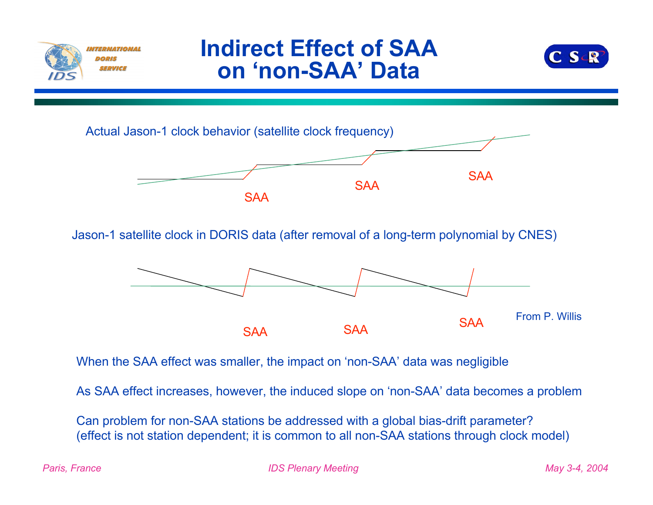

#### **Indirect Effect of SAA on 'non-SAA' Data**





Jason-1 satellite clock in DORIS data (after removal of a long-term polynomial by CNES)



When the SAA effect was smaller, the impact on 'non-SAA' data was negligible

As SAA effect increases, however, the induced slope on 'non-SAA' data becomes a problem

Can problem for non-SAA stations be addressed with a global bias-drift parameter? (effect is not station dependent; it is common to all non-SAA stations through clock model)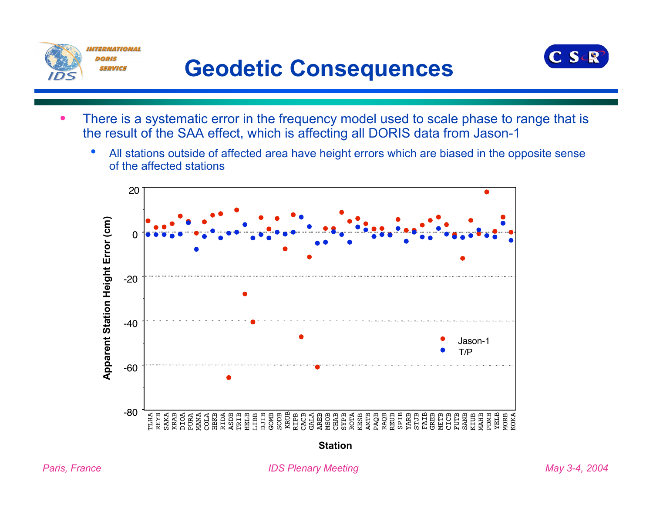

## **Geodetic Consequences**



- There is a systematic error in the frequency model used to scale phase to range that is the result of the SAA effect, which is affecting all DORIS data from Jason-1
	- All stations outside of affected area have height errors which are biased in the opposite sense of the affected stations

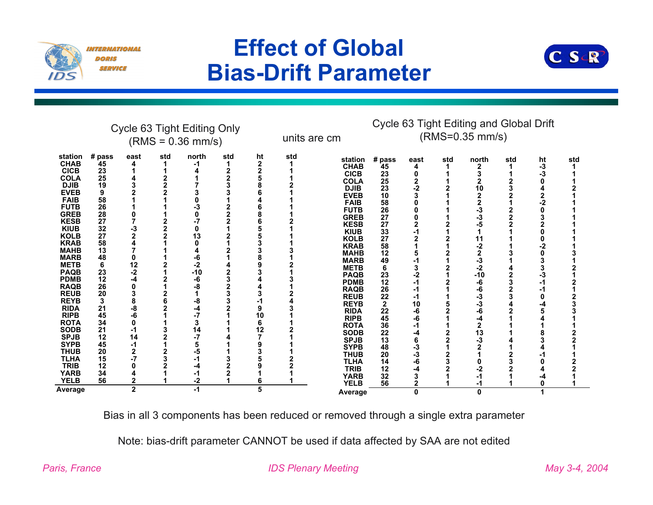

### **Effect of Global Bias-Drift Parameter**



|                                                                                                                                                                                                                                                                                                                                                                                                                                                                                          | Cycle 63 Tight Editing Only<br>$(RMS = 0.36$ mm/s)                                                                                                                                            |                                                                                                                   |     |                                                                                                                                            |     |                                    |     | units are cm                                                                                                                                                                                                                                                                                                                                                                                                                                                              | Cycle 63 Tight Editing and Global Drift<br>(RMS=0.35 mm/s)                                                                                                                                          |                                                                                                         |     |                                                                                                                                                                               |     |                      |     |
|------------------------------------------------------------------------------------------------------------------------------------------------------------------------------------------------------------------------------------------------------------------------------------------------------------------------------------------------------------------------------------------------------------------------------------------------------------------------------------------|-----------------------------------------------------------------------------------------------------------------------------------------------------------------------------------------------|-------------------------------------------------------------------------------------------------------------------|-----|--------------------------------------------------------------------------------------------------------------------------------------------|-----|------------------------------------|-----|---------------------------------------------------------------------------------------------------------------------------------------------------------------------------------------------------------------------------------------------------------------------------------------------------------------------------------------------------------------------------------------------------------------------------------------------------------------------------|-----------------------------------------------------------------------------------------------------------------------------------------------------------------------------------------------------|---------------------------------------------------------------------------------------------------------|-----|-------------------------------------------------------------------------------------------------------------------------------------------------------------------------------|-----|----------------------|-----|
| station<br><b>CHAB</b><br><b>CICB</b><br><b>COLA</b><br><b>DJIB</b><br><b>EVEB</b><br><b>FAIB</b><br><b>FUTB</b><br><b>GREB</b><br><b>KESB</b><br><b>KIUB</b><br><b>KOLB</b><br><b>KRAB</b><br><b>MAHB</b><br><b>MARB</b><br><b>METB</b><br><b>PAQB</b><br><b>PDMB</b><br><b>RAQB</b><br><b>REUB</b><br><b>REYB</b><br><b>RIDA</b><br><b>RIPB</b><br><b>ROTA</b><br><b>SODB</b><br><b>SPJB</b><br><b>SYPB</b><br><b>THUB</b><br><b>TLHA</b><br><b>TRIB</b><br><b>YARB</b><br><b>YELB</b> | # pass<br>45<br>23<br>25<br>19<br>9<br>58<br>26<br>28<br>27<br>32<br>27<br>58<br>13<br>48<br>6<br>23<br>12<br>26<br>20<br>3<br>21<br>45<br>34<br>21<br>12<br>45<br>20<br>15<br>12<br>34<br>56 | east<br>-3<br>$\overline{2}$<br>12<br>-2<br>-4<br>8<br>-8<br>-6<br>0<br>-1<br>14<br>-1<br>2<br>-7<br>$\mathbf{2}$ | std | north<br>-1<br>O<br>13<br>O<br>-6<br>$-2$<br>$-10$<br>-6<br>-8<br>-8<br>-4<br>$-7$<br>3<br>14<br>$-7$<br>5<br>-5<br>-1<br>-4<br>-1<br>$-2$ | std | ht<br>2<br>9<br>10<br>6<br>12<br>6 | std | station<br><b>CHAB</b><br><b>CICB</b><br><b>COLA</b><br><b>DJIB</b><br><b>EVEB</b><br><b>FAIB</b><br><b>FUTB</b><br><b>GREB</b><br><b>KESB</b><br><b>KIUB</b><br><b>KOLB</b><br><b>KRAB</b><br><b>MAHB</b><br><b>MARB</b><br><b>METB</b><br><b>PAQB</b><br><b>PDMB</b><br><b>RAQB</b><br><b>REUB</b><br><b>REYB</b><br><b>RIDA</b><br><b>RIPB</b><br><b>ROTA</b><br><b>SODB</b><br><b>SPJB</b><br><b>SYPB</b><br><b>THUB</b><br><b>TLHA</b><br><b>TRIB</b><br><b>YARB</b> | # pass<br>45<br>23<br>25<br>23<br>10<br>58<br>26<br>27<br>27<br>33<br>27<br>58<br>12<br>49<br>6<br>23<br>12<br>26<br>22<br>$\mathbf{2}$<br>22<br>45<br>36<br>22<br>13<br>48<br>20<br>14<br>12<br>32 | east<br>4<br>0<br>2<br>$-2$<br>-2<br>-1<br>10<br>-6<br>-6<br>-1<br>-4<br>6<br>-3<br>-3<br>-6<br>-4<br>3 | std | north<br>2<br>10<br>$\overline{2}$<br>$\overline{2}$<br>-3<br>-3<br>-5<br>11<br>$-2$<br>2<br>-3<br>$-2$<br>$-10$<br>-6<br>-6<br>-3<br>$-3$<br>-6<br>-4<br>2<br>13<br>-3<br>-2 | std | ht<br>-3<br>-3<br>-2 | std |
| Average                                                                                                                                                                                                                                                                                                                                                                                                                                                                                  |                                                                                                                                                                                               | $\mathbf{2}$                                                                                                      |     | $-1$                                                                                                                                       |     | 5                                  |     | <b>YELB</b><br>Average                                                                                                                                                                                                                                                                                                                                                                                                                                                    | 56                                                                                                                                                                                                  | $\mathbf 2$<br>0                                                                                        |     | 0                                                                                                                                                                             |     |                      |     |

Bias in all 3 components has been reduced or removed through a single extra parameter

Note: bias-drift parameter CANNOT be used if data affected by SAA are not edited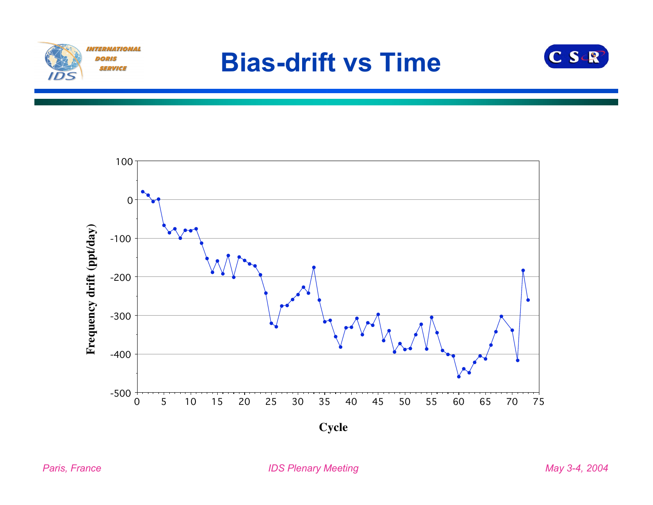

## **Bias-drift vs Time**



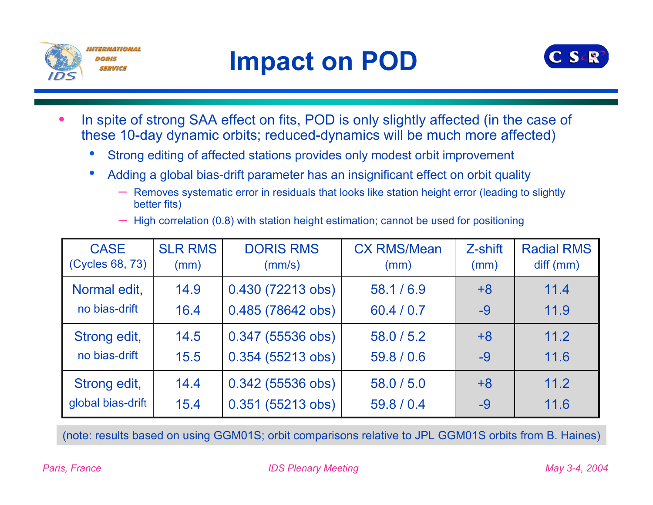



- In spite of strong SAA effect on fits, POD is only slightly affected (in the case of these 10-day dynamic orbits; reduced-dynamics will be much more affected)
	- Strong editing of affected stations provides only modest orbit improvement
	- Adding a global bias-drift parameter has an insignificant effect on orbit quality
		- Removes systematic error in residuals that looks like station height error (leading to slightly better fits)
		- High correlation (0.8) with station height estimation; cannot be used for positioning

| <b>CASE</b><br>(Cycles 68, 73) | <b>SLR RMS</b><br>(mm) | <b>DORIS RMS</b><br>(mm/s) | <b>CX RMS/Mean</b><br>(mm) | Z-shift<br>(mm) | <b>Radial RMS</b><br>diff (mm) |
|--------------------------------|------------------------|----------------------------|----------------------------|-----------------|--------------------------------|
| Normal edit,                   | 14.9                   | 0.430 (72213 obs)          | 58.1/6.9                   | $+8$            | 11.4                           |
| no bias-drift                  | 16.4                   | 0.485 (78642 obs)          | 60.4 / 0.7                 | $-9$            | 11.9                           |
| Strong edit,                   | 14.5                   | $0.347(55536$ obs)         | 58.0 / 5.2                 | $+8$            | 11.2                           |
| no bias-drift                  | 15.5                   | 0.354 (55213 obs)          | 59.8 / 0.6                 | $-9$            | 11.6                           |
| Strong edit,                   | 14.4                   | $0.342$ (55536 obs)        | 58.0 / 5.0                 | $+8$            | 11.2                           |
| global bias-drift              | 15.4                   | $0.351(55213 \text{ obs})$ | 59.8 / 0.4                 | $-9$            | 11.6                           |

(note: results based on using GGM01S; orbit comparisons relative to JPL GGM01S orbits from B. Haines)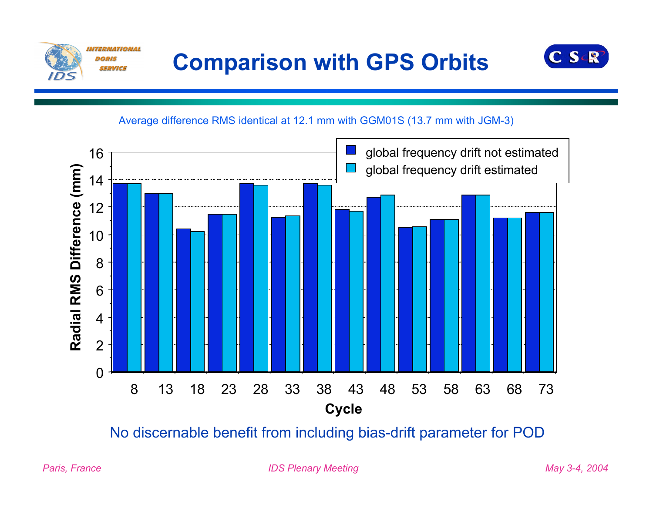



Average difference RMS identical at 12.1 mm with GGM01S (13.7 mm with JGM-3)



No discernable benefit from including bias-drift parameter for POD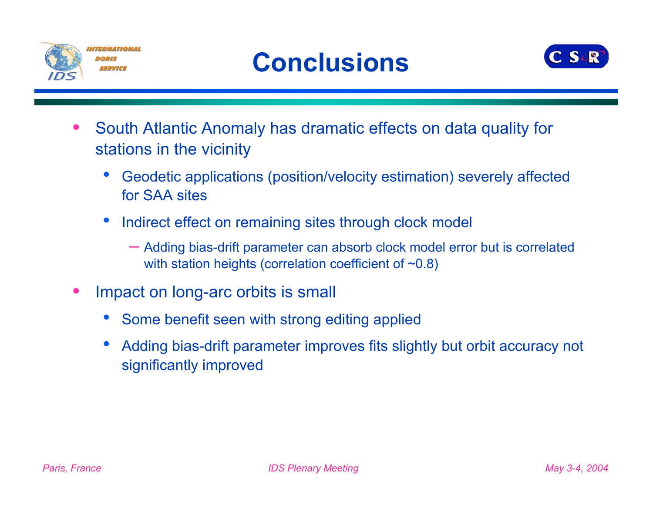



- South Atlantic Anomaly has dramatic effects on data quality for stations in the vicinity
	- Geodetic applications (position/velocity estimation) severely affected for SAA sites
	- Indirect effect on remaining sites through clock model
		- Adding bias-drift parameter can absorb clock model error but is correlated with station heights (correlation coefficient of  $\sim 0.8$ )
- Impact on long-arc orbits is small
	- Some benefit seen with strong editing applied
	- Adding bias-drift parameter improves fits slightly but orbit accuracy not significantly improved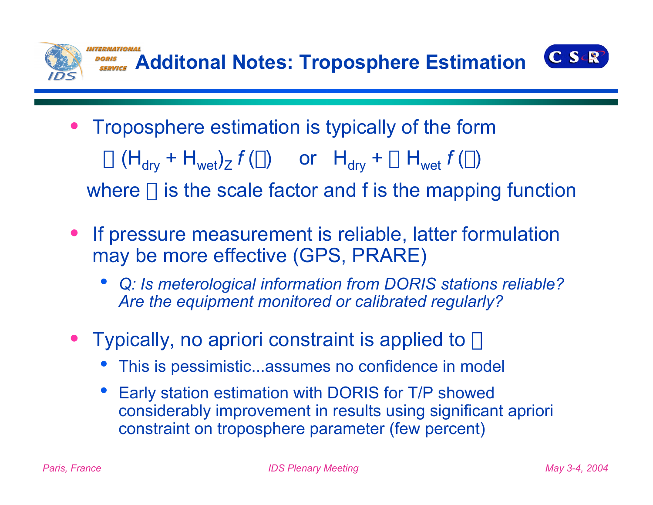

- Troposphere estimation is typically of the form  $\alpha$  (H<sub>drv</sub> + H<sub>wet</sub>)<sub>Z</sub>  $f(\phi)$  or H<sub>dry</sub> +  $\alpha$  H<sub>wet</sub>  $f(\phi)$ where  $\alpha$  is the scale factor and f is the mapping function
- If pressure measurement is reliable, latter formulation may be more effective (GPS, PRARE)
	- *Q: Is meterological information from DORIS stations reliable? Are the equipment monitored or calibrated regularly?*
- Typically, no apriori constraint is applied to  $\alpha$ 
	- This is pessimistic...assumes no confidence in model
	- Early station estimation with DORIS for T/P showed considerably improvement in results using significant apriori constraint on troposphere parameter (few percent)